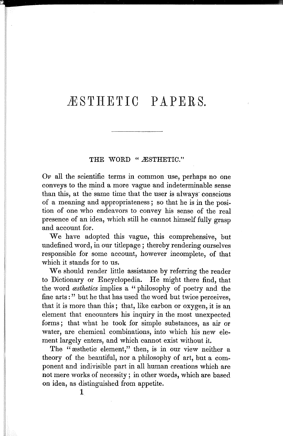## -LESTlfETIC PAPERS.

## THE WORD " ÆSTHETIC."

OF all the scientific terms in common use, perhaps no one conveys to the mind a more vague and indeterminable sense than this, at the same time that the user is always' conscious of a meaning and appropriateness; so that he is in the position of one who endeavors to convey his sense of the real presence of an idea, which still he cannot himself fully grasp and account for.

We have adopted this vague, this comprehensive, but undefined word, in our titlepage; thereby rendering ourselves responsible for some account, however incomplete, of that which it stands for to us.

We should render little assistance by referring the reader to Dictionary or Encyclopedia. He might there find, that the word *esthetics* implies a "philosophy of poetry and the fine arts:" but he that has used the word but twice perceives, that it is more than this; that, like carbon or oxygen, it is an element that encounters his inquiry in the most unexpected forms; that what he took for simple substances, as air or water, are chemical combinations, into which his new element largely enters, and which cannot exist without it.

The "æsthetic element," then, is in our view neither a theory of the beautiful, nor a philosophy of art, but a component and indivisible part in all human creations which are not mere works of necessity; in other words, which are based on idea, as distinguished from appetite,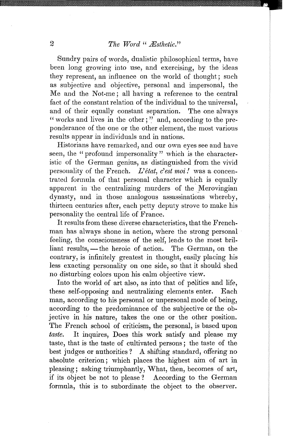Sundry pairs of words, dualistic philosophical terms, have been long growing into use, and exercising, by the ideas they represent, an influence on the world of thought; such as subjective and objective, personal and impersonal, the Me and the Not-me; all having a reference to the central fact of the constant relation of the individual to the universal, and of their equally constant separation. The one always " works and lives in the other;" and, according to the preponderance of the one or the other element, the most various results appear in individuals and in nations.

Historians have remarked, and our own eyes see and have seen, the "profound impersonality" which is the characteristic of the German genius, as distinguished from the vivid personality of the French. *L'état, c'est moi!* was a concentrated formula of that personal character which is equally apparent in the centralizing murders of the Merovingian dynasty, and in those analogous assassinations whereby, thirteen centuries after, each petty deputy strove to make his personality the central life of France.

It results from these diverse characteristics, that the Frenchman has always shone in action, where the strong personal feeling, the consciousness of the self, leads to the most bril· liant results, - the heroic of action. The German, on the contrary, is infinitely greatest in thought, easily placing his less exacting personality on one side, so that it should shed no disturbing colors upon his calm objective view.

Into the world of art also, as into that of politics and life, these self-opposing and neutralizing elements enter. Each man, according to his personal or unpersonal mode of being, according to the predominance of the subjective or the objective in his nature, takes the one or the other position. The French school of criticism, the personal, is based upon *taste.* It inquires, Does this work satisfy and please my taste, that is the taste of cultivated persons; the taste of the best judges or authorities? A shifting standard, offering no absolute criterion; which places the highest aim of art in pleasing; asking triumphantly, What, then, becomes of art, if its object be not to please? According to the German formula, this is to subordinate the object to the observer.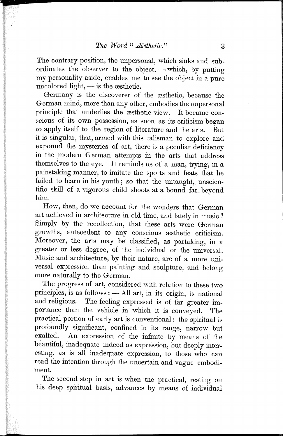The contrary position, the unpersonal, which sinks and subordinates the observer to the object,  $-$  which, by putting my personality aside, enables me to see the object in a pure uncolored light,  $-$  is the æsthetic.

Germany is the discoverer of the æsthetic, because the German mind, more than any other, embodies the unpersonal principle that underlies the æsthetic view. It became conscious of its own possession, as soon as its criticism began to apply itself to the region of literature and the arts. But it is singular, that, armed with this talisman to explore and expound the mysteries of art, there is a peculiar deficiency in the modern German attempts in the arts that address themselves to the eye. It reminds us of a man, trying, in a painstaking manner, to imitate the sports and feats that he failed to learn in his youth; so that the untaught, unscientific skill of a vigorous child shoots at a bound far beyond him.

How, then, do we account for the wonders that German art achieved in architecture in old time, and lately in music? Simply by the recollection, that these arts were German growths, antecedent to any conscious æsthetic criticism. Moreover, the arts may be classified, as partaking, in a greater or less degree, of the individual or the universal. Music and architecture, by their nature, are of a more universal expression than painting and sculpture, and belong more naturally to the German.

The progress of art, considered with relation to these two principles, is as follows:  $-$  All art, in its origin, is national and religious. The feeling expressed is of far greater importance than the vehicle in which it is conveyed. The practical portion of early art is conventional: the spiritual is profoundly significant, confined in its range, narrow but exalted. An expression of the infinite by means of the beautiful, inadequate indeed as expression, but deeply interesting, as is all inadequate expression, to those who can read the intention through the uncertain and vague embodiment.

The second step in art is when the practical, resting on this deep spiritual basis, advances by means of individual